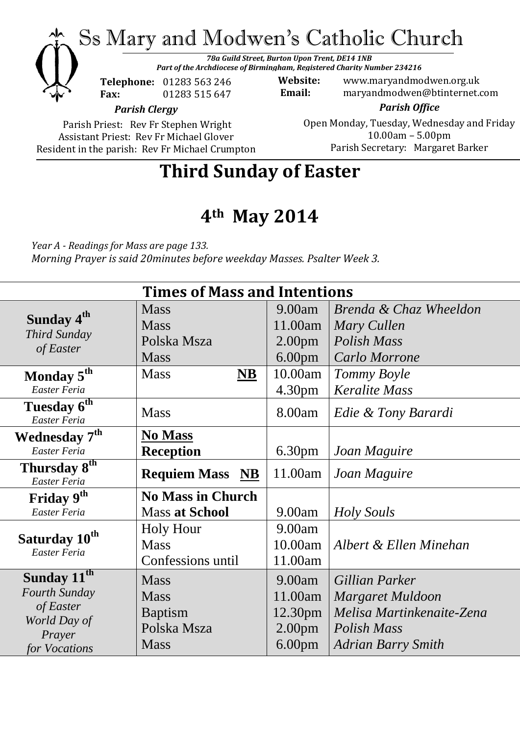Ss Mary and Modwen's Catholic Church

*78a Guild Street, Burton Upon Trent, DE14 1NB Part of the Archdiocese of Birmingham, Registered Charity Number 234216*

**Telephone:** 01283 563 246 **Fax:** 01283 515 647

**Website:** www.maryandmodwen.org.uk **Email:** maryandmodwen@btinternet.com

*Parish Clergy*

Parish Priest: Rev Fr Stephen Wright Assistant Priest: Rev Fr Michael Glover Resident in the parish: Rev Fr Michael Crumpton

*Parish Office* Open Monday, Tuesday, Wednesday and Friday 10.00am – 5.00pm Parish Secretary:Margaret Barker

**Third Sunday of Easter**

## **4th May 2014**

*Year A - Readings for Mass are page 133. Morning Prayer is said 20minutes before weekday Masses. Psalter Week 3.*

| <b>Times of Mass and Intentions</b>                 |                                    |                     |                           |
|-----------------------------------------------------|------------------------------------|---------------------|---------------------------|
| Sunday 4 <sup>th</sup><br>Third Sunday<br>of Easter | <b>Mass</b>                        | 9.00am              | Brenda & Chaz Wheeldon    |
|                                                     | <b>Mass</b>                        | 11.00am             | Mary Cullen               |
|                                                     | Polska Msza                        | 2.00 <sub>pm</sub>  | Polish Mass               |
|                                                     | <b>Mass</b>                        | 6.00 <sub>pm</sub>  | Carlo Morrone             |
| Monday 5 <sup>th</sup>                              | <b>Mass</b><br>$\overline{\bf NB}$ | 10.00am             | Tommy Boyle               |
| Easter Feria                                        |                                    | 4.30 <sub>pm</sub>  | <b>Keralite Mass</b>      |
| Tuesday 6 <sup>th</sup><br>Easter Feria             | <b>Mass</b>                        | 8.00am              | Edie & Tony Barardi       |
| <b>Wednesday 7th</b>                                | <b>No Mass</b>                     |                     |                           |
| Easter Feria                                        | <b>Reception</b>                   | 6.30 <sub>pm</sub>  | Joan Maguire              |
| Thursday 8 <sup>th</sup><br>Easter Feria            | <b>Requiem Mass NB</b>             | 11.00am             | Joan Maguire              |
| Friday 9th                                          | <b>No Mass in Church</b>           |                     |                           |
| Easter Feria                                        | <b>Mass at School</b>              | 9.00am              | Holy Souls                |
| Saturday 10 <sup>th</sup><br>Easter Feria           | <b>Holy Hour</b>                   | 9.00am              |                           |
|                                                     | <b>Mass</b>                        | 10.00am             | Albert & Ellen Minehan    |
|                                                     | Confessions until                  | 11.00am             |                           |
| Sunday 11 <sup>th</sup>                             | <b>Mass</b>                        | 9.00am              | Gillian Parker            |
| Fourth Sunday                                       | <b>Mass</b>                        | 11.00am             | Margaret Muldoon          |
| of Easter                                           | <b>Baptism</b>                     | 12.30 <sub>pm</sub> | Melisa Martinkenaite-Zena |
| World Day of                                        | Polska Msza                        | 2.00 <sub>pm</sub>  | Polish Mass               |
| Prayer<br>for Vocations                             | <b>Mass</b>                        | 6.00 <sub>pm</sub>  | <b>Adrian Barry Smith</b> |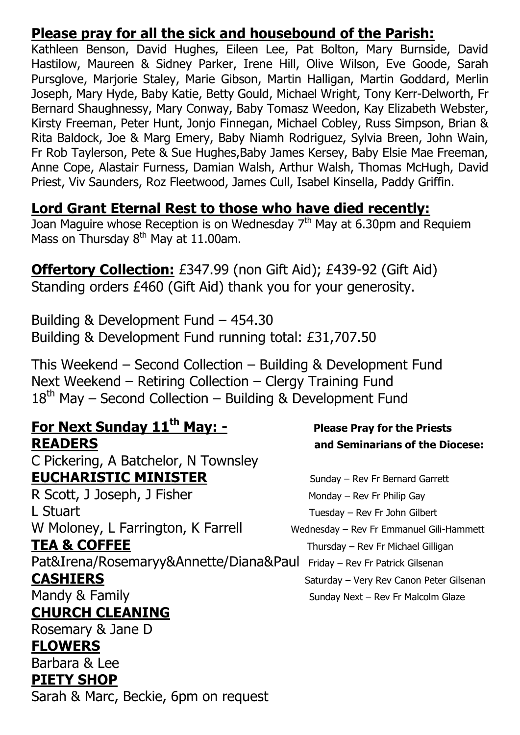### **Please pray for all the sick and housebound of the Parish:**

Kathleen Benson, David Hughes, Eileen Lee, Pat Bolton, Mary Burnside, David Hastilow, Maureen & Sidney Parker, Irene Hill, Olive Wilson, Eve Goode, Sarah Pursglove, Marjorie Staley, Marie Gibson, Martin Halligan, Martin Goddard, Merlin Joseph, Mary Hyde, Baby Katie, Betty Gould, Michael Wright, Tony Kerr-Delworth, Fr Bernard Shaughnessy, Mary Conway, Baby Tomasz Weedon, Kay Elizabeth Webster, Kirsty Freeman, Peter Hunt, Jonjo Finnegan, Michael Cobley, Russ Simpson, Brian & Rita Baldock, Joe & Marg Emery, Baby Niamh Rodriguez, Sylvia Breen, John Wain, Fr Rob Taylerson, Pete & Sue Hughes,Baby James Kersey, Baby Elsie Mae Freeman, Anne Cope, Alastair Furness, Damian Walsh, Arthur Walsh, Thomas McHugh, David Priest, Viv Saunders, Roz Fleetwood, James Cull, Isabel Kinsella, Paddy Griffin.

### **Lord Grant Eternal Rest to those who have died recently:**

Joan Maguire whose Reception is on Wednesday  $7<sup>th</sup>$  May at 6.30pm and Requiem Mass on Thursday  $8<sup>th</sup>$  May at 11.00am.

**Offertory Collection:** £347.99 (non Gift Aid); £439-92 (Gift Aid) Standing orders £460 (Gift Aid) thank you for your generosity.

Building & Development Fund – 454.30 Building & Development Fund running total: £31,707.50

This Weekend – Second Collection – Building & Development Fund Next Weekend – Retiring Collection – Clergy Training Fund  $18<sup>th</sup>$  May – Second Collection – Building & Development Fund

## **For Next Sunday 11th May: - Please Pray for the Priests**

C Pickering, A Batchelor, N Townsley **EUCHARISTIC MINISTER** Sunday – Rev Fr Bernard Garrett R Scott, J Joseph, J Fisher Monday – Rev Fr Philip Gay

L Stuart Tuesday – Rev Fr John Gilbert W Moloney, L Farrington, K Farrell Wednesday – Rev Fr Emmanuel Gili-Hammett

Pat&Irena/Rosemaryy&Annette/Diana&Paul Friday – Rev Fr Patrick Gilsenan

**CHURCH CLEANING**

Rosemary & Jane D

### **FLOWERS**

Barbara & Lee **PIETY SHOP**

Sarah & Marc, Beckie, 6pm on request

# **READERS and Seminarians of the Diocese:**

**TEA & COFFEE** Thursday – Rev Fr Michael Gilligan **CASHIERS** Saturday – Very Rev Canon Peter Gilsenan Mandy & Family **Mandy & Family** Sunday Next – Rev Fr Malcolm Glaze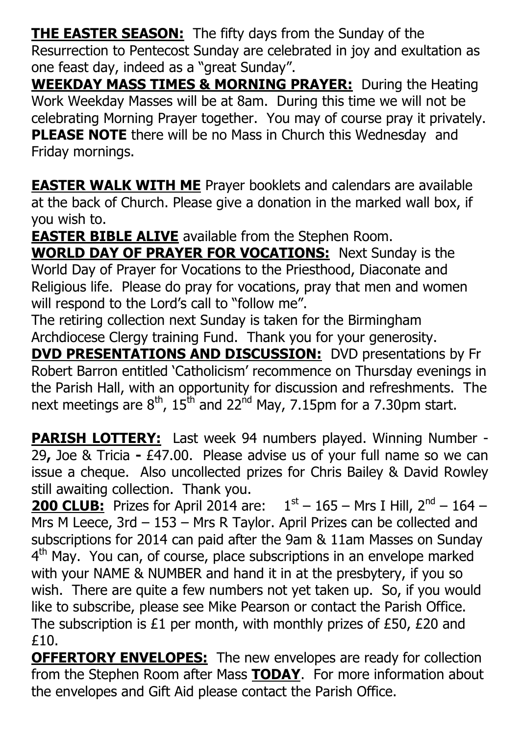**THE EASTER SEASON:** The fifty days from the Sunday of the Resurrection to Pentecost Sunday are celebrated in joy and exultation as one feast day, indeed as a "great Sunday".

**WEEKDAY MASS TIMES & MORNING PRAYER:** During the Heating Work Weekday Masses will be at 8am. During this time we will not be celebrating Morning Prayer together. You may of course pray it privately. **PLEASE NOTE** there will be no Mass in Church this Wednesday and Friday mornings.

**EASTER WALK WITH ME** Prayer booklets and calendars are available at the back of Church. Please give a donation in the marked wall box, if you wish to.

**EASTER BIBLE ALIVE** available from the Stephen Room.

**WORLD DAY OF PRAYER FOR VOCATIONS:** Next Sunday is the World Day of Prayer for Vocations to the Priesthood, Diaconate and Religious life. Please do pray for vocations, pray that men and women will respond to the Lord's call to "follow me".

The retiring collection next Sunday is taken for the Birmingham Archdiocese Clergy training Fund. Thank you for your generosity.

**DVD PRESENTATIONS AND DISCUSSION:** DVD presentations by Fr Robert Barron entitled 'Catholicism' recommence on Thursday evenings in the Parish Hall, with an opportunity for discussion and refreshments. The next meetings are  $8^{th}$ , 15<sup>th</sup> and 22<sup>nd</sup> May, 7.15pm for a 7.30pm start.

**PARISH LOTTERY:** Last week 94 numbers played. Winning Number -29**,** Joe & Tricia **-** £47.00.Please advise us of your full name so we can issue a cheque. Also uncollected prizes for Chris Bailey & David Rowley still awaiting collection. Thank you.

**200 CLUB:** Prizes for April 2014 are:  $1<sup>st</sup> - 165 - Mrs$  I Hill,  $2<sup>nd</sup> - 164 -$ Mrs M Leece, 3rd – 153 – Mrs R Taylor. April Prizes can be collected and subscriptions for 2014 can paid after the 9am & 11am Masses on Sunday 4<sup>th</sup> May. You can, of course, place subscriptions in an envelope marked with your NAME & NUMBER and hand it in at the presbytery, if you so wish. There are quite a few numbers not yet taken up. So, if you would like to subscribe, please see Mike Pearson or contact the Parish Office. The subscription is £1 per month, with monthly prizes of £50, £20 and £10.

**OFFERTORY ENVELOPES:** The new envelopes are ready for collection from the Stephen Room after Mass **TODAY**. For more information about the envelopes and Gift Aid please contact the Parish Office.